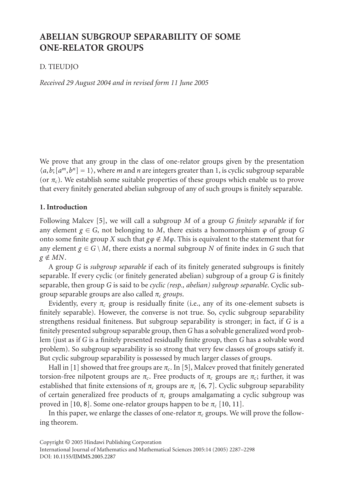# **ABELIAN SUBGROUP SEPARABILITY OF SOME ONE-RELATOR GROUPS**

# D. TIEUDJO

*Received 29 August 2004 and in revised form 11 June 2005*

We prove that any group in the class of one-relator groups given by the presentation  $(a, b; [a^m, b^n] = 1$ , where *m* and *n* are integers greater than 1, is cyclic subgroup separable (or  $\pi_c$ ). We establish some suitable properties of these groups which enable us to prove that every finitely generated abelian subgroup of any of such groups is finitely separable.

### **1. Introduction**

Following Malcev [5], we will call a subgroup *M* of a group *G finitely separable* if for any element  $g \in G$ , not belonging to *M*, there exists a homomorphism  $\varphi$  of group *G* onto some finite group *X* such that  $g\phi \notin M\phi$ . This is equivalent to the statement that for any element  $g \in G \setminus M$ , there exists a normal subgroup *N* of finite index in *G* such that  $g \notin MN$ .

A group *G* is *subgroup separable* if each of its finitely generated subgroups is finitely separable. If every cyclic (or finitely generated abelian) subgroup of a group *G* is finitely separable, [th](#page-11-0)en group *G* is said to be *cyclic (resp.[, a](#page-11-1)belian) subgroup separable*. Cyclic subgroup separable groups are also called *πc groups*.

Evidently, every  $\pi_c$  group is residually finite (i.e., [a](#page-11-2)[ny](#page-11-3) of its one-element subsets is finitely separable). However, the converse is not true. So, cyclic subgroup separability strengthen[s re](#page-11-4)[sid](#page-11-5)ual finiteness. But subgroup separability i[s st](#page-11-4)[ron](#page-11-6)ger; in fact, if *G* is a finitely presented subgroup separable group, then *G* has a solvable generalized word problem (just as if *G* is a finitely presented residually finite group, then *G* has a solvable word problem). So subgroup separability is so strong that very few classes of groups satisfy it. But cyclic subgroup separability is possessed by much larger classes of groups.

<span id="page-0-0"></span>Hall in [1] showed that free groups are  $\pi_c$ . In [5], Malcev proved that finitely generated tors[ion-free](http://dx.doi.org/10.1155/S0161171205408510) [nilpotent](http://dx.doi.org/10.1155/S0161171205408510) [gro](http://dx.doi.org/10.1155/S0161171205408510)ups are  $\pi_c$ . Free products of  $\pi_c$  groups are  $\pi_c$ ; further, it was established that finite extensions of  $\pi_c$  groups are  $\pi_c$  [6, 7]. Cyclic subgroup separability of certain generalized free products of  $\pi_c$  groups amalgamating a cyclic subgroup was proved in [10, 8]. Some one-relator groups happen to be  $\pi_c$  [10, 11].

In this paper, we enlarge the classes of one-relator  $\pi_c$  groups. We will prove the following theorem.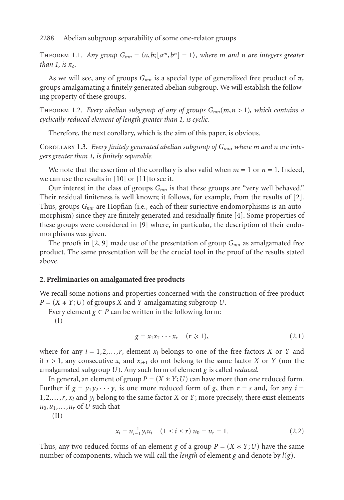<span id="page-1-1"></span><span id="page-1-0"></span>THEOREM 1.1. *Any group*  $G_{mn} = \langle a,b; [a^m, b^n] = 1 \rangle$ , where *m* and *n* are integers greater *than* 1, *is*  $\pi_c$ .

As we will see, any of groups  $G_{mn}$  is a special type of generalized free product of  $\pi_c$ groups amalgamating a finitely generated abelian subgroup. We will establish the following property of these gro[ups](#page-11-4).

THEOREM 1.2. *Every abelian subgroup of any of groups*  $G_{mn}(m, n > 1)$ *, which contai[ns](#page-11-7) a cyclically reduced element of length greater than 1, is cyclic.*

Therefore, the next corollary, which is the aim of this paper, is [ob](#page-11-8)vious.

Corollary 1.3. *Every finitely gen[era](#page-11-9)ted abelian subgroup of Gmn, where m and n are integers greater than 1[, i](#page-11-7)s [fin](#page-11-9)itely separable.*

We note that the assertion of the corollary is also valid when  $m = 1$  or  $n = 1$ . Indeed, we can use the results in  $[10]$  or  $[11]$  to see it.

Our interest in the class of groups  $G_{mn}$  is that these groups are "very well behaved." Their residual finiteness is well known; it follows, for example, from the results of [2]. Thus, groups *Gmn* are Hopfian (i.e., each of their surjective endomorphisms is an automorphism) since they are finitely generated and residually finite [4]. Some properties of these groups were considered in [9] where, in particular, the description of their endomorphisms was given.

The proofs in [2, 9] made use of the presentation of group *Gmn* as amalgamated free product. The same presentation will be the crucial tool in the proof of the results stated above.

#### **2. Preliminaries on amalgamated free products**

We recall some notions and properties concerned with the construction of free product  $P = (X * Y; U)$  of groups *X* and *Y* amalgamating subgroup *U*.

Every element  $g \in P$  can be written in the following form:

(I)

$$
g = x_1 x_2 \cdots x_r \quad (r \geqslant 1), \tag{2.1}
$$

where for any  $i = 1, 2, \ldots, r$ , element  $x_i$  belongs to one of the free factors *X* or *Y* and if  $r > 1$ , any consecutive  $x_i$  and  $x_{i+1}$  do not belong to the same factor *X* or *Y* (nor the amalgamated subgroup *U*). Any such form of element *g* is called *reduced*.

In general, an element of group  $P = (X * Y; U)$  can have more than one reduced form. Further if  $g = y_1 y_2 \cdots y_s$  is one more reduced form of *g*, then  $r = s$  and, for any  $i =$  $1, 2, \ldots, r$ ,  $x_i$  and  $y_i$  belong to the same factor *X* or *Y*; more precisely, there exist elements  $u_0, u_1, \ldots, u_r$  of *U* such that

(II)

$$
x_i = u_{i-1}^{-1} y_i u_i \quad (1 \le i \le r) \ u_0 = u_r = 1. \tag{2.2}
$$

Thus, any two reduced forms of an element *g* of a group  $P = (X * Y; U)$  have the same number of components, which we will call the *length* of element *g* and denote by *l*(*g*).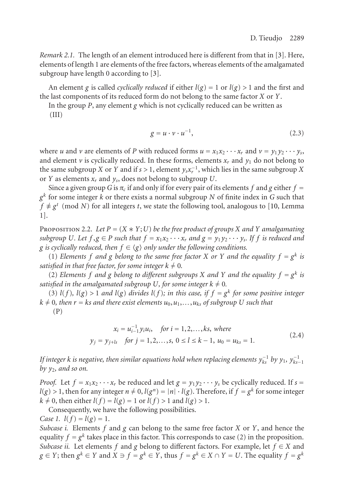*Remark 2.1.* The length of an element introduced here is different from that in [3]. Here, elements of length 1 are elements of the free factors, whereas elements of the amalgamated subgroup have length 0 according to [3].

An element *g* is called *cyclically reduced* if either  $l(g) = 1$  or  $l(g) > 1$  and the first and the last components of its reduced form do not belong to the same factor *X* or *Y*.

In the group *P*, any element *g* which is not cyclically reduced can be written as

(III)

<span id="page-2-0"></span>
$$
g = u \cdot v \cdot u^{-1},\tag{2.3}
$$

where *u* and *v* are elements of *P* with reduced forms  $u = x_1x_2 \cdots x_r$  and  $v = y_1y_2 \cdots y_s$ , and element  $\nu$  is cyclically reduced. In these forms, elements  $x_r$  and  $y_1$  do not belong to the same subgroup *X* or *Y* and if *s* > 1, element  $y_s x_r^{-1}$ , which lies in the same subgroup *X* or *Y* as elements *xr* and *ys*, does not belong to subgroup *U*.

Since a given group *G* is  $\pi_c$  if and only if for every pair of its elements *f* and *g* either  $f =$ *g<sup>k</sup>* for some integer *k* or there exists a normal subgroup *N* of finite index in *G* such that  $f \not\equiv g^t \pmod{N}$  for all integers *t*, we state the following tool, analogous to [10, Lemma 1].

PROPOSITION 2.2. Let  $P = (X * Y; U)$  be the free product of groups X and Y amalgamating *subgroup U. Let*  $f, g \in P$  *such that*  $f = x_1x_2 \cdots x_r$  *and*  $g = y_1y_2 \cdots y_s$ *. If*  $f$  *is reduced and* g is cyclically reduced, then  $f \in \langle g \rangle$  only under the following conditions.

(1) *Elements*  $f$  *and*  $g$  *belong to the same free factor*  $X$  *or*  $Y$  *and the equality*  $f = g^k$  *is satisfied in that free factor, for some integer*  $k \neq 0$ *.* 

(2) *Elements f and g belong to different subgroups X and Y and the equality*  $f = g^k$  *is satisfied in the amalgamated subgroup* U, for some integer  $k \neq 0$ .

(3)  $l(f)$ ,  $l(g) > 1$  *and*  $l(g)$  *divides*  $l(f)$ *; in this case, if*  $f = g<sup>k</sup>$  *for some positive integer*  $k \neq 0$ , then  $r = ks$  and there exist elements  $u_0, u_1, \ldots, u_{ks}$  of subgroup U such that (P)

$$
x_i = u_{i-1}^{-1} y_i u_i, \quad \text{for } i = 1, 2, \dots, ks, \text{ where}
$$
  

$$
y_j = y_{j+ls} \quad \text{for } j = 1, 2, \dots, s, \ 0 \le l \le k - 1, \ u_0 = u_{ks} = 1.
$$
 (2.4)

*If integer k is negative, then similar equations hold when replacing elements*  $y_{ks}^{-1}$  *by*  $y_1$ *,*  $y_{ks-1}^{-1}$ *by y*2*, and so on.*

*Proof.* Let  $f = x_1 x_2 \cdots x_r$  be reduced and let  $g = y_1 y_2 \cdots y_s$  be cyclically reduced. If  $s =$  $l(g) > 1$ , then for any integer  $n \neq 0$ ,  $l(g^n) = |n| \cdot l(g)$ . Therefore, if  $f = g^k$  for some integer  $k \neq 0$ , then either  $l(f) = l(g) = 1$  or  $l(f) > 1$  and  $l(g) > 1$ .

Consequently, we have the following possibilities.

*Case 1.*  $l(f) = l(g) = 1$ .

*Subcase i.* Elements *f* and *g* can belong to the same free factor *X* or *Y*, and hence the equality  $f = g^k$  takes place in this factor. This corresponds to case (2) in the proposition. *Subcase ii.* Let elements *f* and *g* belong to different factors. For example, let  $f \in X$  and *g* ∈ *Y*; then  $g^k$  ∈ *Y* and  $X$  ∋  $f$  =  $g^k$  ∈ *Y*, thus  $f$  =  $g^k$  ∈  $X$  ∩  $Y$  = *U*. The equality  $f$  =  $g^k$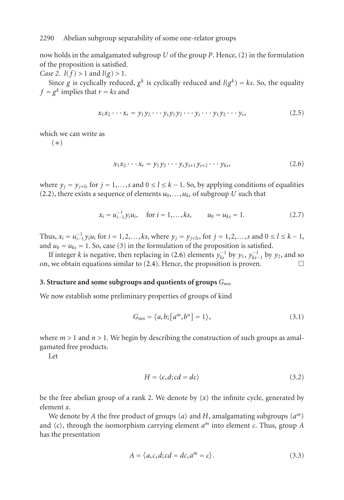now holds in the amalgamated subgroup *U* of the group *P*. Hence, (2) in the formulation of the proposition is satisfied.

*Case 2. l*(*f*) > 1 and *l*(*g*) > 1.

Since *g* is cyclically reduced,  $g^k$  is cyclically reduced and  $l(g^k) = ks$ . So, the equality  $f = g^k$  implies that  $r = ks$  and

<span id="page-3-0"></span>
$$
x_1x_2\cdots x_r = y_1y_2\cdots y_sy_1y_2\cdots y_s\cdots y_1y_2\cdots y_s, \qquad (2.5)
$$

which we can write as

(∗)

$$
x_1 x_2 \cdots x_r = y_1 y_2 \cdots y_s y_{s+1} y_{s+2} \cdots y_{ks}, \qquad (2.6)
$$

where  $y_j = y_{j+k}$  for  $j = 1, \ldots, s$  and  $0 \le l \le k - 1$  $0 \le l \le k - 1$ . So, by applying conditions of equalities (2.2), there exists a sequence of elements  $u_0$ ,...,  $u_{ks}$  of subgroup *U* such that

$$
x_i = u_{i-1}^{-1} y_i u_i, \quad \text{for } i = 1, \dots, ks, \qquad u_0 = u_{ks} = 1. \tag{2.7}
$$

Thus,  $x_i = u_{i-1}^{-1} y_i u_i$  for  $i = 1, 2, ..., k$ s, where  $y_j = y_{j+l}$ , for  $j = 1, 2, ..., s$  and  $0 ≤ l ≤ k - 1$ , and  $u_0 = u_{ks} = 1$ . So, case (3) in the formulation of the proposition is satisfied.

If integer *k* is negative, then replacing in (2.6) elements  $y_{ks}^{-1}$  by  $y_1$ ,  $y_{ks-1}^{-1}$  by  $y_2$ , and so on, we obtain equations similar to  $(2.4)$ . Hence, the proposition is proven.

## **3. Structure and some subgroups and quotients of groups** *Gmn*

We now establish some preliminary properties of groups of kind

$$
G_{mn} = \langle a, b; [a^m, b^n] = 1 \rangle, \tag{3.1}
$$

where  $m > 1$  and  $n > 1$ . We begin by describing the construction of such groups as amalgamated free products.

Let

$$
H = \langle c, d; cd = dc \rangle \tag{3.2}
$$

be the free abelian group of a rank 2. We denote by  $\langle x \rangle$  the infinite cycle, generated by element *x*.

We denote by *A* the free product of groups  $\langle a \rangle$  and *H*, amalgamating subgroups  $\langle a^m \rangle$ and  $\langle c \rangle$ , through the isomorphism carrying element  $a^m$  into element  $c$ . Thus, group  $A$ has the presentation

$$
A = \langle a, c, d; cd = dc, a^m = c \rangle.
$$
 (3.3)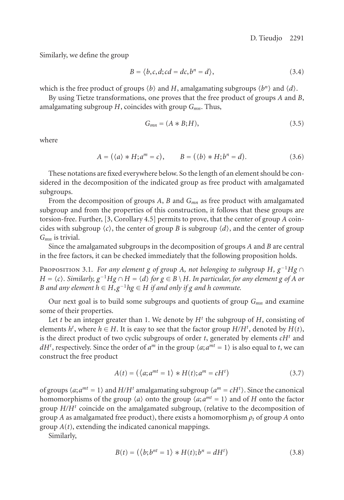Similarly, we define the group

$$
B = \langle b, c, d; cd = dc, b^n = d \rangle,
$$
\n(3.4)

which is the free product of groups  $\langle b \rangle$  and *H*, amalgamating subgroups  $\langle b^n \rangle$  and  $\langle d \rangle$ .

By using Tietze transformations, one proves that the free product of groups *A* and *B*, amalgamating subgroup *H*, coincides with group *Gmn*. Thus,

$$
G_{mn} = (A * B; H), \tag{3.5}
$$

where

$$
A = (\langle a \rangle * H; a^m = c), \qquad B = (\langle b \rangle * H; b^n = d). \tag{3.6}
$$

These notations are fixed everywhere below. So the length of an element should be considered in the decomposition of the indicated group as free product with amalgamated subgroups.

From the decomposition of groups *A*, *B* and *Gmn* as free product with amalgamated subgroup and from the properties of this construction, it follows that these groups are torsion-free. Further, [3, Corollary 4.5] permits to prove, that the center of group *A* coincides with subgroup  $\langle c \rangle$ , the center of group *B* is subgroup  $\langle d \rangle$ , and the center of group *Gmn* is trivial.

Since the amalgamated subgroups in the decomposition of groups *A* and *B* are central in the free factors, it can be checked immediately that the following proposition holds.

Proposition 3.1. *For any element g of group A, not belonging to subgroup H, g*−1*Hg* <sup>∩</sup> *H* =  $\langle c \rangle$ . Similarly,  $g^{-1}Hg \cap H = \langle d \rangle$  for  $g \in B \setminus H$ . In particular, for any element g of A or *B* and any element  $h \in H$ , $g^{-1}hg \in H$  *if and only if*  $g$  *and*  $h$  *commute.* 

Our next goal is to build some subgroups and quotients of group  $G_{mn}$  and examine some of their properties.

Let *t* be an integer greater than 1. We denote by  $H^t$  the subgroup of  $H$ , consisting of elements  $h^t$ , where  $h \in H$ . It is easy to see that the factor group  $H/H^t$ , denoted by  $H(t)$ , is the direct product of two cyclic subgroups of order *t*, generated by elements *cH<sup>t</sup>* and *dH<sup>t</sup>*, respectively. Since the order of *a<sup>m</sup>* in the group  $\langle a; a^{mt} = 1 \rangle$  is also equal to *t*, we can construct the free product

$$
A(t) = (\langle a; a^{mt} = 1 \rangle * H(t); a^m = cH^t)
$$
\n(3.7)

of groups  $\langle a; a^{mt} = 1 \rangle$  and  $H/H^t$  amalgamating subgroup  $\langle a^m = cH^t \rangle$ . Since the canonical homomorphisms of the group  $\langle a \rangle$  onto the group  $\langle a; a^{mt} = 1 \rangle$  and of *H* onto the factor group  $H/H<sup>t</sup>$  coincide on the amalgamated subgroup, (relative to the decomposition of group *A* as amalgamated free product), there exists a homomorphism  $\rho_t$  of group *A* onto group *A*(*t*), extending the indicated canonical mappings.

Similarly,

$$
B(t) = (\langle b; b^{nt} = 1 \rangle * H(t); b^n = dH^t)
$$
\n(3.8)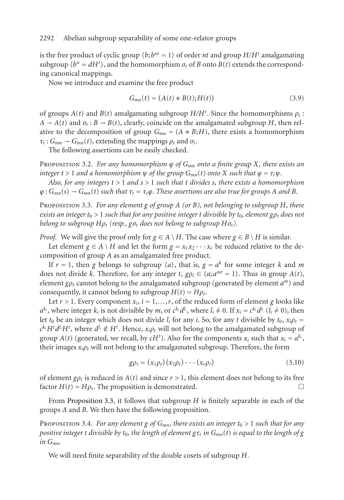is the free product of cyclic group  $\langle b; b^{nt} = 1 \rangle$  of order *nt* and group  $H/H<sup>t</sup>$  amalgamating subgroup  $\langle b^n = dH^t \rangle$ , and the homomorphism  $\sigma_t$  of *B* onto *B*(*t*) extends the corresponding canonical mappings.

Now we introduce and examine the free product

$$
G_{mn}(t) = (A(t) * B(t); H(t))
$$
\n(3.9)

of groups  $A(t)$  and  $B(t)$  amalgamating subgroup  $H/H<sup>t</sup>$ . Since the homomorphisms  $\rho_t$ :  $A \rightarrow A(t)$  and  $\sigma_t : B \rightarrow B(t)$ , clearly, coincide on the amalgamated subgroup *H*, then relative to the decomposition of group  $G_{mn} = (A * B; H)$ , there exists a homomorphism  $\tau_t$ :  $G_{mn} \rightarrow G_{mn}(t)$ , extending the mappings  $\rho_t$  and  $\sigma_t$ .

The following assertions can be easily checked.

PROPOSITION 3.2. *For any homomorphism*  $\varphi$  *of*  $G_{mn}$  *onto a finite group X, there exists an integer*  $t > 1$  *and a homomorphism*  $\psi$  *of the group*  $G_{mn}(t)$  *onto*  $X$  *such that*  $\varphi = \tau_t \psi$ *.* 

*Also, for any integers t >* 1 *and s >* 1 *such that t divides s, there exists a homomorphism*  $\varphi$  :  $G_{mn}(s) \rightarrow G_{mn}(t)$  *such that*  $\tau_t = \tau_s \varphi$ *. These assertions are also true for groups A and B.* 

Proposition 3.3. *For any element g of group A (or B), not belonging to subgroup H, there exists an integer*  $t_0 > 1$  *such that for any positive integer t divisible by*  $t_0$ *, element*  $g \rho_t$  *does not belong to subgroup*  $H\rho_t$  (resp.,  $g\sigma_t$  *does not belong to subgroup*  $H\sigma_t$ *).* 

*Proof.* We will give the proof only for  $g \in A \setminus H$ . The case where  $g \in B \setminus H$  is similar.

Let element  $g \in A \setminus H$  and let the form  $g = x_1 x_2 \cdots x_r$  be reduced relative to the decomposition of group *A* as an amalgamated free product.

If  $r = 1$ , then *g* belongs to subgroup  $\langle a \rangle$ , that is,  $g = a^k$  for some integer *k* and *m* does not divide *k*. Therefore, for any integer *t*,  $g\rho_t \in \langle a; a^{mt} = 1 \rangle$ . Thus in group  $A(t)$ , element  $g_{\rho t}$  cannot belong to the amalgamated subgroup (generated by element  $a^m$ ) and consequently, it cannot belong to subgroup  $H(t) = H \rho_t$ .

<span id="page-5-0"></span>Let  $r > 1$ . Every component  $x_i$ ,  $i = 1,...,r$ , of the reduced form of element *g* looks like  $a^{k_i}$ , where integer  $k_i$  is not divisible by *m*, or  $c^{k_i}d^{l_i}$ , where  $l_i \neq 0$ . If  $x_i = c^{k_i}d^{l_i}$  ( $l_i \neq 0$ ), then let  $t_0$  be [an integer which](#page-1-0) does not divide  $l_i$  for any *i*. So, for any *t* divisible by  $t_0$ ,  $x_i \rho_t$  $c^{k_i} H^t d^{l_i} H^t$ , where  $d^{l_i} \notin H^t$ . Hence,  $x_i \rho_t$  will not belong to the amalgamated subgroup of group  $A(t)$  (generated, we recall, by  $cH<sup>t</sup>$ ). Also for the components  $x_i$  such that  $x_i = a^{k_i}$ , their images  $x_i \rho_t$  will not belong to the amalgamated subgroup. Therefore, the form

$$
g\rho_t = (x_1\rho_t)(x_2\rho_t)\cdots(x_r\rho_t)
$$
\n(3.10)

of element  $g_{\rho t}$  is reduced in  $A(t)$  and since  $r > 1$ , this element does not belong to its free factor  $H(t) = H \rho_t$ . The proposition is demonstrated.  $\Box$ 

From Proposition 3.3, it follows that subgroup *H* is finitely separable in each of the groups *A* and *B*. We then have the following proposition.

Proposition 3.4. *For any element g of Gmn, there exists an integer t*<sup>0</sup> *>* 1 *such that for any positive integer t divisible by t*<sub>0</sub>*, the length of element*  $g\tau_t$  *in*  $G_{mn}(t)$  *is equal to the length of g in Gmn.*

We will need finite separability of the double cosets of subgroup *H*.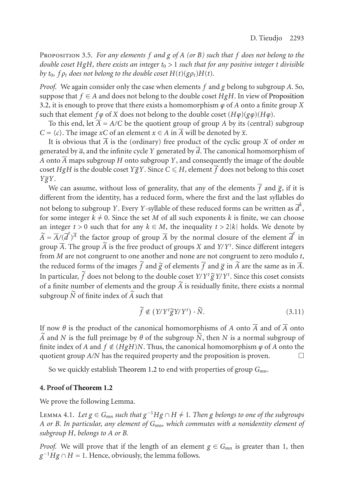<span id="page-6-0"></span>Proposition 3.5. *For any elements f and g of A (or B) such that f does not belong to the double coset HgH, there exists an integer t*<sup>0</sup> *>* 1 *such that for any positive integer t divisible by*  $t_0$ ,  $f \rho_t$  does not belong to the double coset  $H(t)(g \rho_t)H(t)$ .

*Proof.* We again consider only the case when elements *f* and *g* belong to subgroup *A*. So, suppose that  $f \in A$  and does not belong to the double coset *HgH*. In view of Proposition 3.2, it is enough to prove that there exists a homomorphism  $\varphi$  of *A* onto a finite group *X* such that element *f*  $\varphi$  of *X* does not belong to the double coset  $(H\varphi)(g\varphi)(H\varphi)$ .

To this end, let  $\overline{A} = A/C$  be the quotient group of group *A* by its (central) subgroup *C* =  $\langle c \rangle$ . The image *xC* of an element *x* ∈ *A* in *A* will be denoted by  $\overline{x}$ .

It is obvious that  $\overline{A}$  is the (ordinary) free product of the cyclic group *X* of order *m* generated by  $\overline{a}$ , and the infinite cycle *Y* generated by *d*. The canonical homomorphism of *A* onto  $\overline{A}$  maps subgroup *H* onto subgroup *Y*, and consequently the image of the double coset *HgH* is the double coset *Y* $\overline{g}Y$ . Since *C*  $\leq$  *H*, element  $\overline{f}$  does not belong to this coset *YgY*.

We can assume, without loss of generality, that any of the elements  $\overline{f}$  and  $\overline{g}$ , if it is different from the identity, has a reduced form, where the first and the last syllables do not belong to subgroup *Y*. Every *Y*-syllable of these reduced forms can be written as  $\overline{d}^k$ , for some integer  $k \neq 0$ . Since the set *M* of all such exponents *k* is finite, we can choose an integer  $t > 0$  such that for any  $k \in M$ , the inequality  $t > 2|k|$  holds. We denote by  $\widetilde{A} = \overline{A}/(\overline{d}^t)^{\overline{A}}$  the factor group of group  $\overline{A}$  by the normal closure of the element  $\overline{d}^t$  in group  $\overline{A}.$  The group  $\widetilde{A}$  is the free product of groups  $X$  and  $Y\!/Y^t.$  Since different integers from *M* are not congruent to one another and none are not congruent to zero modulo *t*, the reduced forms of the images  $\tilde{f}$  and  $\tilde{g}$  of elements  $\overline{f}$  and  $\overline{g}$  in  $\tilde{A}$  are the same as in  $\overline{A}$ . In particular,  $\tilde{f}$  does not belong to the double coset *Y/Y<sup>t</sup>*  $\tilde{g}$ *Y/Y<sup>t</sup>*. Since this coset consists of a finite number of ele[ments and the g](#page-1-1)roup  $\widetilde{A}$  is residually finite, there exists a normal subgroup  $\widetilde{N}$  of finite index of  $\widetilde{A}$  such that

$$
\widetilde{f} \notin (Y/Y^t \widetilde{g} Y/Y^t) \cdot \widetilde{N}.
$$
\n(3.11)

If now  $\theta$  is the product of the canonical homomorphisms of *A* onto  $\overline{A}$  and of  $\overline{A}$  onto *A* and *N* is the full preimage by  $\theta$  of the subgroup  $\tilde{N}$ , then *N* is a normal subgroup of finite index of *A* and  $f \notin (HgH)N$ . Thus, the canonical homomorphism  $\varphi$  of *A* onto the quotient group  $A/N$  has the required property and the proposition is proven.  $\Box$ 

So we quickly establish Theorem 1.2 to end with properties of group *Gmn*.

#### **4. Proof of Theorem 1.2**

We prove the following Lemma.

LEMMA 4.1. *Let*  $g$  ∈  $G_{mn}$  *such that*  $g^{-1}Hg ∩ H ≠ 1$ *. Then*  $g$  *belongs to one of the subgroups A or B. In particular, any element of Gmn, which commutes with a nonidentity element of subgroup H, belongs to A or B.*

*Proof.* We will prove that if the length of an element  $g \in G_{mn}$  is greater than 1, then  $g^{-1}Hg \cap H = 1$ . Hence, obviously, the lemma follows.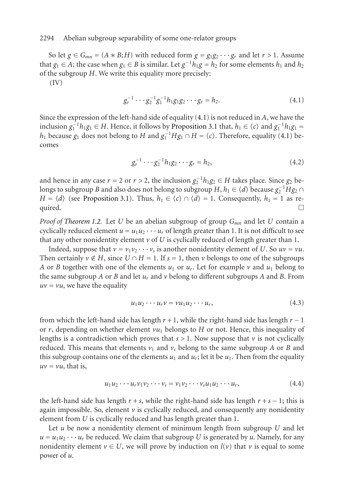So let  $g \in G_{mn} = (A * B; H)$  with reduced form  $g = g_1 g_2 \cdots g_r$  and let  $r > 1$ . [Ass](#page-7-0)ume that *g*<sub>1</sub> ∈ *A*; the case when *g*<sub>1</sub> ∈ *B* is similar. Let *g*<sup>-1</sup>*h*<sub>1</sub>*g* = *h*<sub>2</sub> for some elements *h*<sub>1</sub> and *h*<sub>2</sub> of the subgroup *H*. We write this equality more precisely:

(IV)

<span id="page-7-0"></span>
$$
g_r^{-1} \cdots g_2^{-1} g_1^{-1} h_1 g_1 g_2 \cdots g_r = h_2. \tag{4.1}
$$

Since the expr[ession of the left-](#page-0-0)hand side of equality (4.1) is not reduced in *A*, we have the inclusion  $g_1^{-1}h_1g_1$  ∈ *H*. Hence, it follows by Proposition 3.1 that,  $h_1 \in \langle c \rangle$  and  $g_1^{-1}h_1g_1$  = *h*<sub>1</sub> because *g*<sub>1</sub> [does no](#page-1-1)t belong to *H* and  $g_1^{-1}Hg_1 ∩ H = \langle c \rangle$ . Therefore, equality (4.1) becomes

$$
g_r^{-1} \cdots g_2^{-1} h_1 g_2 \cdots g_r = h_2, \qquad (4.2)
$$

and hence in any case *r* = 2 or *r* > 2, the inclusion  $g_2^{-1}h_1g_2$  ∈ *H* takes place. Since  $g_2$  belongs to subgroup *B* and also does not belong to subgroup  $H$ ,  $h_1 \in \langle d \rangle$  because  $g_2^{-1}Hg_2 \cap$ *H* =  $\langle d \rangle$  (see Proposition 3.1). Thus,  $h_1 \in \langle c \rangle \cap \langle d \rangle = 1$ . Consequently,  $h_1 = 1$  as required.  $\Box$ 

*Proof of Theorem 1.2.* Let *U* be an abelian subgroup of group *Gmn* and let *U* contain a cyclically reduced element  $u = u_1 u_2 \cdots u_r$  of length greater than 1. It is not difficult to see that any other nonidentity element  $\nu$  of U is cyclically reduced of length greater than 1.

Indeed, suppose that  $v = v_1v_2 \cdots v_s$  is another nonidentity element of *U*. So  $uv = vu$ . Then certainly  $v \notin H$ , since  $U \cap H = 1$ . If  $s = 1$ , then  $v$  belongs to one of the subgroups *A* or *B* together with one of the elements  $u_1$  or  $u_r$ . Let for example  $\nu$  and  $u_1$  belong to the same subgroup *A* or *B* and let *ur* and *v* belong to different subgroups *A* and *B*. From  $uv = vu$ , we have the equality

$$
u_1 u_2 \cdots u_r v = v u_1 u_2 \cdots u_r, \qquad (4.3)
$$

from which the left-hand side has length  $r + 1$ , while the right-hand side has length  $r - 1$ or  $r$ , depending on whether element  $vu_1$  belongs to  $H$  or not. Hence, this inequality of lengths is a contradiction which proves that  $s > 1$ . Now suppose that  $\nu$  is not cyclically reduced. This means that elements  $v_1$  and  $v_s$  belong to the same subgroup *A* or *B* and this subgroup contains one of the elements  $u_1$  and  $u_r$ ; let it be  $u_1$ . Then from the equality  $uv = vu$ , that is,

$$
u_1 u_2 \cdots u_r v_1 v_2 \cdots v_s = v_1 v_2 \cdots v_s u_1 u_2 \cdots u_r, \qquad (4.4)
$$

the left-hand side has length  $r + s$ , while the right-hand side has length  $r + s - 1$ ; this is again impossible. So, element  $\nu$  is cyclically reduced, and consequently any nonidentity element from *U* is cyclically reduced and has length greater than 1.

Let *u* be now a nonidentity element of minimum length from subgroup *U* and let  $u = u_1 u_2 \cdots u_r$  be reduced. We claim that subgroup *U* is generated by *u*. Namely, for any nonidentity element  $v \in U$ , we will prove by induction on  $l(v)$  that v is equal to some power of *u*.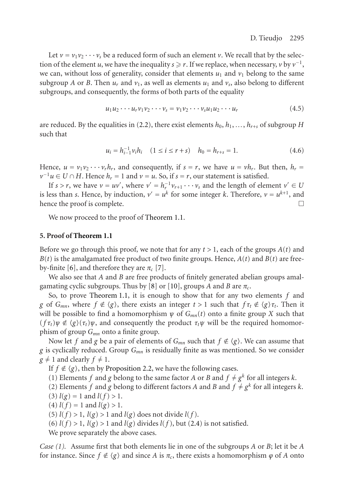Let  $v = v_1v_2 \cdots v_s$  be a reduced form of such an element *v*. We recall that by the selection of the element *u*, we have the inequality  $s \ge r$ . If we replace, when necessary, *v* by  $v^{-1}$ , we can, without loss of generality, consider that elements  $u_1$  and  $v_1$  belong to the same subgroup *A* or *B*. Then  $u_r$  and  $v_1$ , as well as elements  $u_1$  and  $v_s$ , also belong to different subgroups, and consequently, the forms of both parts of the equality

$$
u_1u_2\cdots u_r v_1v_2\cdots v_s = v_1v_2\cdots v_s u_1u_2\cdots u_r \qquad (4.5)
$$

are reduced. By the equalities in (2.2), there exist elements  $h_0, h_1, \ldots, h_{r+s}$  of subgroup *H* such that

$$
u_i = h_{i-1}^{-1} v_i h_i \quad (1 \le i \le r + s) \quad h_0 = h_{r+s} = 1. \tag{4.6}
$$

Hence,  $u = v_1v_2 \cdots v_r h_r$ , and consequently, if  $s = r$ , we have  $u = v h_r$ . But then,  $h_r =$  $v^{-1}u \in U \cap H$ . Hence  $h_r = 1$  and  $v = u$ . So, if  $s = r$ , our statement is satisfied.

If *s* > *r*[, w](#page-11-2)e [h](#page-11-3)ave  $v = uv'$ , where  $v' = h_r^{-1}v_{r+1} \cdots v_s$  and the length of element  $v' \in U$ is less than *s*. Hence, by induction,  $v' = u^k$  for some integer *k*. Therefore,  $v = u^{k+1}$ , and hence the proof is complete hence the proof is complete.

We now proc[eed](#page-0-0) [to](#page-0-0) [the](#page-0-0) [pro](#page-0-0)of of Theorem 1.1.

## **5. Proof of Theorem 1.1**

Before we go through this proof, we note that for any  $t > 1$ , each of the groups  $A(t)$  and  $B(t)$  is the amalgamated free product of two finite groups. Hence,  $A(t)$  and  $B(t)$  are freeby-finite [6], and therefore they are  $\pi_c$  [7].

We also see that *A* and *B* are free products of finitely generated abelian groups amalgamating cyclic subgr[oups. Thus by \[8](#page-1-1)] or [10], groups *A* and *B* are  $\pi_c$ .

So, to prove Theorem 1.1, it is enough to show that for any two elements *f* and *g* of *G<sub>mn</sub>*, where  $f \notin \langle g \rangle$ , there exists an integer  $t > 1$  such that  $f \tau_t \notin \langle g \rangle \tau_t$ . Then it will be possible to find a homomorphism  $\psi$  of  $G_{mn}(t)$  onto a finite group X such that  $(f\tau_t)\psi \notin \langle g \rangle(\tau_t)\psi$ , and consequently the product  $\tau_t\psi$  will be the required homomorphism of group *Gmn* onto a finite group.

Now let  $f$  and  $g$  be a pair of elements of  $G_{mn}$  [such](#page-2-0) that  $f \notin \langle g \rangle$ . We can assume that *g* is cyclically reduced. Group *Gmn* is residually finite as was mentioned. So we consider  $g \neq 1$  and clearly  $f \neq 1$ .

If *f*  $\notin$   $\langle g \rangle$ , then by Proposition 2.2, we have the following cases.

- (1) Elements *f* and *g* belong to the same factor *A* or *B* and  $f \neq g^k$  for all integers *k*.
- (2) Elements *f* and *g* belong to different factors *A* and *B* and  $f \neq g^k$  for all integers *k*. (3)  $l(g) = 1$  and  $l(f) > 1$ .
- (4)  $l(f) = 1$  and  $l(g) > 1$ .

(5)  $l(f) > 1$ ,  $l(g) > 1$  and  $l(g)$  does not divide  $l(f)$ .

(6)  $l(f) > 1$ ,  $l(g) > 1$  and  $l(g)$  divides  $l(f)$ , but (2.4) is not satisfied.

We prove separately the above cases.

*Case (1).* Assume first that both elements lie in one of the subgroups *A* or *B*; let it be *A* for instance. Since  $f \notin \langle g \rangle$  and since *A* is  $\pi_c$ , there exists a homomorphism  $\varphi$  of *A* onto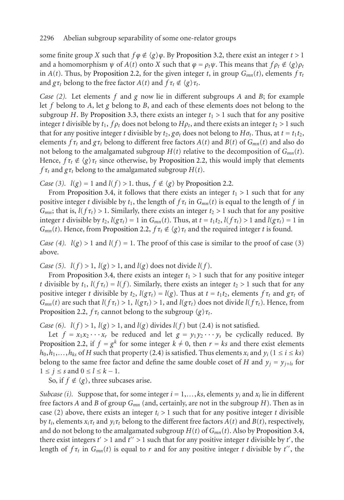some finite group *X* such that  $f\varphi \notin \langle g \rangle \varphi$ . By Proposition 3.2, there exist an integer  $t > 1$ and a homomorphism  $\psi$  of  $A(t)$  onto  $X$  such that  $\varphi = \rho_t \psi$ . This means that  $f \rho_t \notin \langle g \rangle \rho_t$ in *A*(*t*). Thus, by Proposition 2.2, for t[he given integer](#page-1-1) *t*, in group  $G_{mn}(t)$ , elements  $f\tau_t$ and  $g\tau_t$  belong to the free factor  $A(t)$  and  $f\tau_t \notin \langle g \rangle \tau_t$ .

*Case (2).* Let elements *f* and *g* now lie in different subgroups *A* and *B*; for example let *f* belong to *A*, let *g* belong to *B*, and each o[f](#page-1-1) [these](#page-1-1) [elements](#page-1-1) does not belong to the subgroup *H*. By [Proposit](#page-5-0)ion 3.3, there exists an integer  $t_1 > 1$  such that for any positive integer *t* divisible by  $t_1$ ,  $f \rho_t$  does not belong to  $H \rho_t$ , and there exists an integer  $t_2 > 1$  such that for any positive integer *t* divisible by  $t_2$ ,  $g\sigma_t$  does not belong to  $H\sigma_t$ . Thus, at  $t = t_1t_2$ , elements  $f\tau_t$  and  $g\tau_t$  belong to different free factors  $A(t)$  and  $B(t)$  of  $G_{mn}(t)$  and also do not belong to the a[malgamated](#page-1-1) [subg](#page-1-1)roup  $H(t)$  relative to the decomposition of  $G_{mn}(t)$ . Hence,  $f\tau_t \notin \langle g \rangle \tau_t$  since otherwise, by Proposition 2.2, this would imply that elements *f*  $\tau_t$  and  $g\tau_t$  belong to the amalgamated subgroup  $H(t)$ .

*Case* (3).  $l(g) = 1$  and  $l(f) > 1$ . thus,  $f \notin \langle g \rangle$  by Proposition 2.2.

From [Proposition 3.4,](#page-5-0) it follows that there exists an integer  $t_1 > 1$  such that for any positive integer *t* divisible by  $t_1$ , the length of  $f \tau_t$  in  $G_{mn}(t)$  is equal to the length of f in *G<sub>mn</sub>*; that is,  $l(f\tau_t) > 1$ . Similarly, there exists an integer  $t_2 > 1$  such that for any positive integer *t* divisible by  $t_2$ ,  $l(g\tau_t) = 1$  in  $G_{mn}(t)$ . Thus, at  $t = t_1t_2$ ,  $l(f\tau_t) > 1$  and  $l(g\tau_t) = 1$  in *G<sub>mn</sub>*(*t*[\). Hence, f](#page-1-1)rom Proposition 2.2,  $f\tau_t \notin \langle g \rangle \tau_t$  and the required integer *t* is found.

*Case* (4).  $l(g) > 1$  and  $l(f) = 1$ . The proof of this cas[e is](#page-2-0) similar to the proof of case (3) above.

*[Case](#page-1-1)* [\(5\).](#page-1-1)  $l(f) > 1$ ,  $l(g) > 1$ , and  $l(g)$  [does](#page-2-0) not divide  $l(f)$ .

From Proposition 3.4, there exists an integer  $t_1 > 1$  such that for any positive integer *t* divisible by  $t_1$ ,  $l(f \tau_t) = l(f)$ . Similarly, there exists an integer  $t_2 > 1$  such that for any positive integer *t* divisible by  $t_2$ ,  $l(g\tau_t) = l(g)$ . Thus at  $t = t_1t_2$ , elements  $f\tau_t$  and  $g\tau_t$  of  $G_{mn}(t)$  are such that  $l(f \tau_t) > 1$ ,  $l(g \tau_t) > 1$ , and  $l(g \tau_t)$  does not divide  $l(f \tau_t)$ . Hence, from Proposition 2.2,  $f\tau_t$  cannot belong to the subgroup  $\langle g \rangle \tau_t$ .

*Case* (6).  $l(f) > 1$ ,  $l(g) > 1$ , and  $l(g)$  divides  $l(f)$  but (2.4) is not satisfied.

Let  $f = x_1 x_2 \cdots x_r$  be reduced and let  $g = y_1 y_2 \cdots y_s$  be cyclically reduced. By Proposition 2.2, if  $f = g^k$  for some integer  $k \neq 0$ , then  $r = ks$  and the[re exist elements](#page-5-0)  $h_0, h_1, \ldots, h_k$  of *H* such that property (2.4) is satisfied. Thus elements  $x_i$  and  $y_i$  (1 ≤ *i* ≤ *ks*) belong to the same free factor and define the same double coset of *H* and  $y_j = y_{j+ls}$  for  $1 \leq j \leq s$  and  $0 \leq l \leq k-1$ .

So, if  $f \notin \langle g \rangle$ , three subcases arise.

*Subcase (i).* Suppose that, for some integer  $i = 1,...,ks$ , elements  $y_i$  and  $x_i$  lie in different free factors *A* and *B* of group *Gmn* (and, certainly, are not in the subgroup *H*). Then as in case (2) above, there exists an integer  $t_i > 1$  such that for any positive integer t divisible by  $t_i$ , elements  $x_i \tau_t$  and  $y_i \tau_t$  belong to the different free factors  $A(t)$  and  $B(t)$ , respectively, and do not belong to the amalgamated subgroup  $H(t)$  of  $G_{mn}(t)$ . Also by Proposition 3.4, there exist integers  $t' > 1$  and  $t'' > 1$  such that for any positive integer  $t$  divisible by  $t'$  , the length of  $f\tau_t$  in  $G_{mn}(t)$  is equal to r and for any positive integer t divisible by t'', the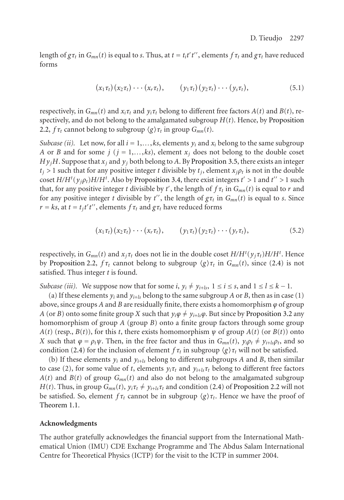length of  $g\tau_t$  in  $G_{mn}(t)$  is equal to *s*. Thus, at  $t = t_i t' t''$ , elements  $f\tau_t$  and  $g\tau_t$  have reduced forms

$$
(x_1\tau_t)(x_2\tau_t)\cdots(x_r\tau_t), \qquad (y_1\tau_t)(y_2\tau_t)\cdots(y_s\tau_t), \qquad (5.1)
$$

respectively, in  $G_{mn}(t)$  and  $x_i \tau_t$  and  $y_i \tau_t$  belong to different free factors  $A(t)$  and  $B(t)$ , respectively, and do not belong to the amalgamated subgroup *H*(*t*). Hence, by Proposition 2.2,  $f\tau_t$  cannot belong to subgroup  $\langle g \rangle \tau_t$  in group  $G_{mn}(t)$ .

*Subcase (ii).* Let now, for all  $i = 1,...,ks$ , elements  $y_i$  and  $x_i$  belong to the same subgroup *A* or *B* and for some *j* ( $j = 1,...,ks$ ), element  $x_j$  does not belong to the double coset  $H y_jH$ . Suppose that  $x_j$  and  $y_j$  both belong to A. By Proposition 3.5, there exists an integer  $t_i > 1$  such that for any positive integer *t* divisible by  $t_i$ , element  $x_i \rho_t$  is not in the double coset  $H/H^t(y_j\rho_t)H/H^t$  $H/H^t(y_j\rho_t)H/H^t$ . Also by Proposition 3.4, there exist integers  $t' > 1$  and  $t'' > 1$  such that, for any positive integer *t* divisible by *t'*, the length of  $f\tau_t$  in  $G_{mn}(t)$  is equal to  $r$  and for any positive integer *t* divisible by *t''*, the length of  $g\tau_t$  in  $G_{mn}(t)$  is equal to *s*. Since *r* = *ks*, at *t* = *t<sub>j</sub>t't''*, elements  $f\tau_t$  and  $g\tau_t$  have reduced forms

$$
(x_1\tau_t)(x_2\tau_t)\cdots(x_r\tau_t), \qquad (y_1\tau_t)(y_2\tau_t)\cdots(y_r\tau_t), \qquad (5.2)
$$

respectively, in  $G_{mn}(t)$  and  $x_j \tau_t$  does not lie in the double coset  $H/H^t(y_j \tau_t)H/H^t$ . Hence by Proposi[tion](#page-2-0) 2.2,  $f\tau_t$  cannot belong to subgroup  $\langle g \rangle \tau_t$  in  $G_{mn}(t)$ , since (2.4) is not satisfied. Thus integer *t* is found.

*Subcase (iii).* We suppose now that for some *i*,  $y_i \neq y_{i+1s}$ ,  $1 \leq i \leq s$ , and  $1 \leq l \leq k-1$ .

(a) If these elements  $y_i$  and  $y_{i+k}$  belong to the same subgroup *A* or *B*, then as in case (1) above, since groups *A* and *B* are residually finite, there exis[ts a](#page-2-0) ho[momorphism](#page-1-1)  $\varphi$  of group *A* (or *B*) onto some finite group *X* such that  $y_i\phi \neq y_{i+1s}\phi$ . But since by Proposition 3.2 any [homomorphi](#page-0-0)sm of group *A* (group *B*) onto a finite group factors through some group  $A(t)$  (resp.,  $B(t)$ ), for this *t*, there exists homomorphism  $\psi$  of group  $A(t)$  (or  $B(t)$ ) onto *X* such that  $\varphi = \rho_t \psi$ . Then, in the free factor and thus in  $G_{mn}(t)$ ,  $y_i \rho_t \neq y_{i+k} \rho_t$ , and so condition (2.4) for the inclusion of element  $f\tau_t$  in subgroup  $\langle g \rangle \tau_t$  will not be satisfied.

(b) If these elements  $y_i$  and  $y_{i+k}$  belong to different subgroups *A* and *B*, then similar to case (2), for some value of *t*, elements  $y_i \tau_t$  and  $y_{i+k} \tau_t$  belong to different free factors  $A(t)$  and  $B(t)$  of group  $G_{mn}(t)$  and also do not belong to the amalgamated subgroup *H*(*t*). Thus, in group  $G_{mn}(t)$ ,  $y_i \tau_t \neq y_{i+k} \tau_t$  and condition (2.4) of Proposition 2.2 will not be satisfied. So, element  $f\tau_t$  cannot be in subgroup  $\langle g \rangle \tau_t$ . Hence we have the proof of Theorem 1.1.

#### **Acknowledgments**

The author gratefully acknowledges the financial support from the International Mathematical Union (IMU) CDE Exchange Programme and The Abdus Salam International Centre for Theoretical Physics (ICTP) for the visit to the ICTP in summer 2004.